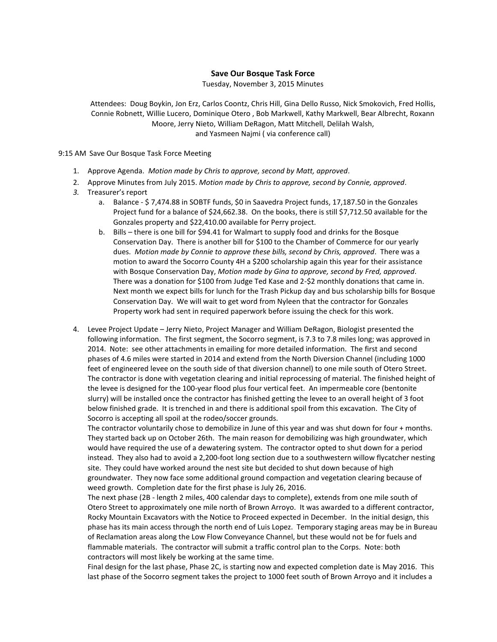## **Save Our Bosque Task Force**

Tuesday, November 3, 2015 Minutes

Attendees: Doug Boykin, Jon Erz, Carlos Coontz, Chris Hill, Gina Dello Russo, Nick Smokovich, Fred Hollis, Connie Robnett, Willie Lucero, Dominique Otero , Bob Markwell, Kathy Markwell, Bear Albrecht, Roxann Moore, Jerry Nieto, William DeRagon, Matt Mitchell, Delilah Walsh, and Yasmeen Najmi ( via conference call)

9:15 AM Save Our Bosque Task Force Meeting

- 1. Approve Agenda. *Motion made by Chris to approve, second by Matt, approved*.
- 2. Approve Minutes from July 2015. *Motion made by Chris to approve, second by Connie, approved*.
- *3.* Treasurer's report
	- a. Balance \$ 7,474.88 in SOBTF funds, \$0 in Saavedra Project funds, 17,187.50 in the Gonzales Project fund for a balance of \$24,662.38. On the books, there is still \$7,712.50 available for the Gonzales property and \$22,410.00 available for Perry project.
	- b. Bills there is one bill for \$94.41 for Walmart to supply food and drinks for the Bosque Conservation Day. There is another bill for \$100 to the Chamber of Commerce for our yearly dues. *Motion made by Connie to approve these bills, second by Chris, approved*. There was a motion to award the Socorro County 4H a \$200 scholarship again this year for their assistance with Bosque Conservation Day, *Motion made by Gina to approve, second by Fred, approved*. There was a donation for \$100 from Judge Ted Kase and 2-\$2 monthly donations that came in. Next month we expect bills for lunch for the Trash Pickup day and bus scholarship bills for Bosque Conservation Day. We will wait to get word from Nyleen that the contractor for Gonzales Property work had sent in required paperwork before issuing the check for this work.
- 4. Levee Project Update Jerry Nieto, Project Manager and William DeRagon, Biologist presented the following information. The first segment, the Socorro segment, is 7.3 to 7.8 miles long; was approved in 2014. Note: see other attachments in emailing for more detailed information. The first and second phases of 4.6 miles were started in 2014 and extend from the North Diversion Channel (including 1000 feet of engineered levee on the south side of that diversion channel) to one mile south of Otero Street. The contractor is done with vegetation clearing and initial reprocessing of material. The finished height of the levee is designed for the 100-year flood plus four vertical feet. An impermeable core (bentonite slurry) will be installed once the contractor has finished getting the levee to an overall height of 3 foot below finished grade. It is trenched in and there is additional spoil from this excavation. The City of Socorro is accepting all spoil at the rodeo/soccer grounds.

The contractor voluntarily chose to demobilize in June of this year and was shut down for four + months. They started back up on October 26th. The main reason for demobilizing was high groundwater, which would have required the use of a dewatering system. The contractor opted to shut down for a period instead. They also had to avoid a 2,200-foot long section due to a southwestern willow flycatcher nesting site. They could have worked around the nest site but decided to shut down because of high groundwater. They now face some additional ground compaction and vegetation clearing because of weed growth. Completion date for the first phase is July 26, 2016.

The next phase (2B - length 2 miles, 400 calendar days to complete), extends from one mile south of Otero Street to approximately one mile north of Brown Arroyo. It was awarded to a different contractor, Rocky Mountain Excavators with the Notice to Proceed expected in December. In the initial design, this phase has its main access through the north end of Luis Lopez. Temporary staging areas may be in Bureau of Reclamation areas along the Low Flow Conveyance Channel, but these would not be for fuels and flammable materials. The contractor will submit a traffic control plan to the Corps. Note: both contractors will most likely be working at the same time.

Final design for the last phase, Phase 2C, is starting now and expected completion date is May 2016. This last phase of the Socorro segment takes the project to 1000 feet south of Brown Arroyo and it includes a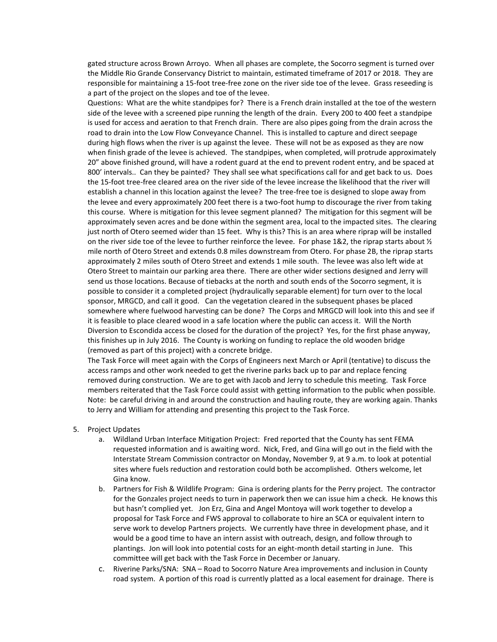gated structure across Brown Arroyo. When all phases are complete, the Socorro segment is turned over the Middle Rio Grande Conservancy District to maintain, estimated timeframe of 2017 or 2018. They are responsible for maintaining a 15-foot tree-free zone on the river side toe of the levee. Grass reseeding is a part of the project on the slopes and toe of the levee.

Questions: What are the white standpipes for? There is a French drain installed at the toe of the western side of the levee with a screened pipe running the length of the drain. Every 200 to 400 feet a standpipe is used for access and aeration to that French drain. There are also pipes going from the drain across the road to drain into the Low Flow Conveyance Channel. This is installed to capture and direct seepage during high flows when the river is up against the levee. These will not be as exposed as they are now when finish grade of the levee is achieved. The standpipes, when completed, will protrude approximately 20" above finished ground, will have a rodent guard at the end to prevent rodent entry, and be spaced at 800' intervals.. Can they be painted? They shall see what specifications call for and get back to us. Does the 15-foot tree-free cleared area on the river side of the levee increase the likelihood that the river will establish a channel in this location against the levee? The tree-free toe is designed to slope away from the levee and every approximately 200 feet there is a two-foot hump to discourage the river from taking this course. Where is mitigation for this levee segment planned? The mitigation for this segment will be approximately seven acres and be done within the segment area, local to the impacted sites. The clearing just north of Otero seemed wider than 15 feet. Why is this? This is an area where riprap will be installed on the river side toe of the levee to further reinforce the levee. For phase 1&2, the riprap starts about  $\frac{1}{2}$ mile north of Otero Street and extends 0.8 miles downstream from Otero. For phase 2B, the riprap starts approximately 2 miles south of Otero Street and extends 1 mile south. The levee was also left wide at Otero Street to maintain our parking area there. There are other wider sections designed and Jerry will send us those locations. Because of tiebacks at the north and south ends of the Socorro segment, it is possible to consider it a completed project (hydraulically separable element) for turn over to the local sponsor, MRGCD, and call it good. Can the vegetation cleared in the subsequent phases be placed somewhere where fuelwood harvesting can be done? The Corps and MRGCD will look into this and see if it is feasible to place cleared wood in a safe location where the public can access it. Will the North Diversion to Escondida access be closed for the duration of the project? Yes, for the first phase anyway, this finishes up in July 2016. The County is working on funding to replace the old wooden bridge (removed as part of this project) with a concrete bridge.

The Task Force will meet again with the Corps of Engineers next March or April (tentative) to discuss the access ramps and other work needed to get the riverine parks back up to par and replace fencing removed during construction. We are to get with Jacob and Jerry to schedule this meeting. Task Force members reiterated that the Task Force could assist with getting information to the public when possible. Note: be careful driving in and around the construction and hauling route, they are working again. Thanks to Jerry and William for attending and presenting this project to the Task Force.

- 5. Project Updates
	- a. Wildland Urban Interface Mitigation Project: Fred reported that the County has sent FEMA requested information and is awaiting word. Nick, Fred, and Gina will go out in the field with the Interstate Stream Commission contractor on Monday, November 9, at 9 a.m. to look at potential sites where fuels reduction and restoration could both be accomplished. Others welcome, let Gina know.
	- b. Partners for Fish & Wildlife Program: Gina is ordering plants for the Perry project. The contractor for the Gonzales project needs to turn in paperwork then we can issue him a check. He knows this but hasn't complied yet. Jon Erz, Gina and Angel Montoya will work together to develop a proposal for Task Force and FWS approval to collaborate to hire an SCA or equivalent intern to serve work to develop Partners projects. We currently have three in development phase, and it would be a good time to have an intern assist with outreach, design, and follow through to plantings. Jon will look into potential costs for an eight-month detail starting in June. This committee will get back with the Task Force in December or January.
	- c. Riverine Parks/SNA: SNA Road to Socorro Nature Area improvements and inclusion in County road system. A portion of this road is currently platted as a local easement for drainage. There is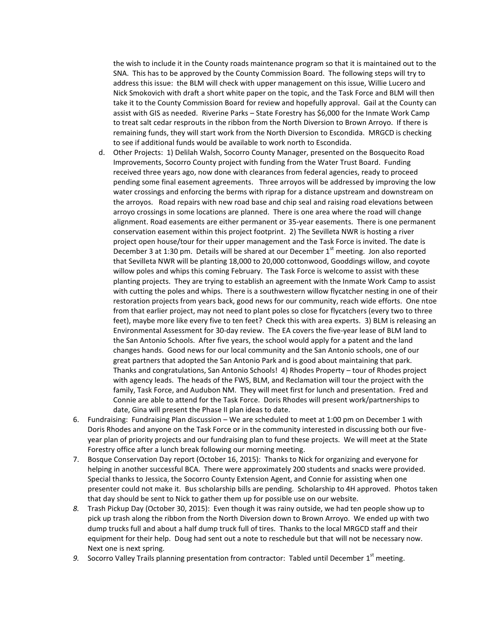the wish to include it in the County roads maintenance program so that it is maintained out to the SNA. This has to be approved by the County Commission Board. The following steps will try to address this issue: the BLM will check with upper management on this issue, Willie Lucero and Nick Smokovich with draft a short white paper on the topic, and the Task Force and BLM will then take it to the County Commission Board for review and hopefully approval. Gail at the County can assist with GIS as needed. Riverine Parks – State Forestry has \$6,000 for the Inmate Work Camp to treat salt cedar resprouts in the ribbon from the North Diversion to Brown Arroyo. If there is remaining funds, they will start work from the North Diversion to Escondida. MRGCD is checking to see if additional funds would be available to work north to Escondida.

- d. Other Projects: 1) Delilah Walsh, Socorro County Manager, presented on the Bosquecito Road Improvements, Socorro County project with funding from the Water Trust Board. Funding received three years ago, now done with clearances from federal agencies, ready to proceed pending some final easement agreements. Three arroyos will be addressed by improving the low water crossings and enforcing the berms with riprap for a distance upstream and downstream on the arroyos. Road repairs with new road base and chip seal and raising road elevations between arroyo crossings in some locations are planned. There is one area where the road will change alignment. Road easements are either permanent or 35-year easements. There is one permanent conservation easement within this project footprint. 2) The Sevilleta NWR is hosting a river project open house/tour for their upper management and the Task Force is invited. The date is December 3 at 1:30 pm. Details will be shared at our December 1<sup>st</sup> meeting. Jon also reported that Sevilleta NWR will be planting 18,000 to 20,000 cottonwood, Gooddings willow, and coyote willow poles and whips this coming February. The Task Force is welcome to assist with these planting projects. They are trying to establish an agreement with the Inmate Work Camp to assist with cutting the poles and whips. There is a southwestern willow flycatcher nesting in one of their restoration projects from years back, good news for our community, reach wide efforts. One ntoe from that earlier project, may not need to plant poles so close for flycatchers (every two to three feet), maybe more like every five to ten feet? Check this with area experts. 3) BLM is releasing an Environmental Assessment for 30-day review. The EA covers the five-year lease of BLM land to the San Antonio Schools. After five years, the school would apply for a patent and the land changes hands. Good news for our local community and the San Antonio schools, one of our great partners that adopted the San Antonio Park and is good about maintaining that park. Thanks and congratulations, San Antonio Schools! 4) Rhodes Property – tour of Rhodes project with agency leads. The heads of the FWS, BLM, and Reclamation will tour the project with the family, Task Force, and Audubon NM. They will meet first for lunch and presentation. Fred and Connie are able to attend for the Task Force. Doris Rhodes will present work/partnerships to date, Gina will present the Phase II plan ideas to date.
- 6. Fundraising: Fundraising Plan discussion We are scheduled to meet at 1:00 pm on December 1 with Doris Rhodes and anyone on the Task Force or in the community interested in discussing both our fiveyear plan of priority projects and our fundraising plan to fund these projects. We will meet at the State Forestry office after a lunch break following our morning meeting.
- 7. Bosque Conservation Day report (October 16, 2015): Thanks to Nick for organizing and everyone for helping in another successful BCA. There were approximately 200 students and snacks were provided. Special thanks to Jessica, the Socorro County Extension Agent, and Connie for assisting when one presenter could not make it. Bus scholarship bills are pending. Scholarship to 4H approved. Photos taken that day should be sent to Nick to gather them up for possible use on our website.
- *8.* Trash Pickup Day (October 30, 2015): Even though it was rainy outside, we had ten people show up to pick up trash along the ribbon from the North Diversion down to Brown Arroyo. We ended up with two dump trucks full and about a half dump truck full of tires. Thanks to the local MRGCD staff and their equipment for their help. Doug had sent out a note to reschedule but that will not be necessary now. Next one is next spring.
- 9. Socorro Valley Trails planning presentation from contractor: Tabled until December 1<sup>st</sup> meeting.